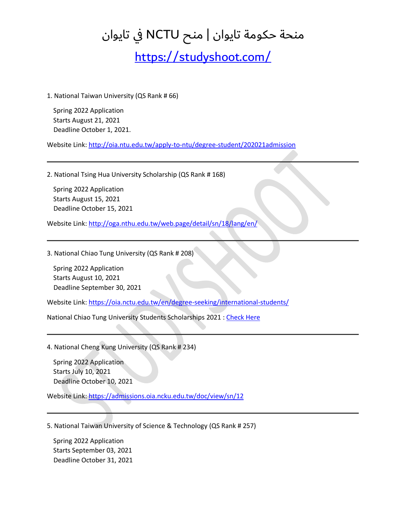<https://studyshoot.com/>

1. National Taiwan University (QS Rank # 66)

 Spring 2022 Application Starts August 21, 2021 Deadline October 1, 2021.

Website Link[: http://oia.ntu.edu.tw/apply-to-ntu/degree-student/202021admission](http://oia.ntu.edu.tw/apply-to-ntu/degree-student/202021admission)

2. National Tsing Hua University Scholarship (QS Rank # 168)

 Spring 2022 Application Starts August 15, 2021 Deadline October 15, 2021

Website Link[: http://oga.nthu.edu.tw/web.page/detail/sn/18/lang/en/](http://oga.nthu.edu.tw/web.page/detail/sn/18/lang/en/)

3. National Chiao Tung University (QS Rank # 208)

 Spring 2022 Application Starts August 10, 2021 Deadline September 30, 2021

Website Link[: https://oia.nctu.edu.tw/en/degree-seeking/international-students/](https://oia.nctu.edu.tw/en/degree-seeking/international-students/)

National Chiao Tung University Students Scholarships 2021 [: Check Here](https://scholarships365.info/National-Chiao-Tung-University-Scholarships)

4. National Cheng Kung University (QS Rank # 234)

 Spring 2022 Application Starts July 10, 2021 Deadline October 10, 2021

Website Link[: https://admissions.oia.ncku.edu.tw/doc/view/sn/12](https://admissions.oia.ncku.edu.tw/doc/view/sn/12)

5. National Taiwan University of Science & Technology (QS Rank # 257)

 Spring 2022 Application Starts September 03, 2021 Deadline October 31, 2021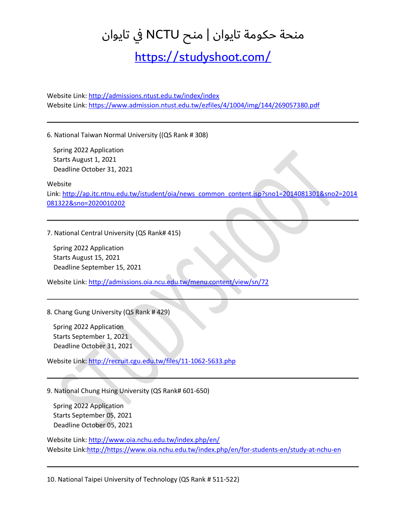<https://studyshoot.com/>

Website Link[: http://admissions.ntust.edu.tw/index/index](http://admissions.ntust.edu.tw/index/index) Website Link[: https://www.admission.ntust.edu.tw/ezfiles/4/1004/img/144/269057380.pdf](https://www.admission.ntust.edu.tw/ezfiles/4/1004/img/144/269057380.pdf)

6. National Taiwan Normal University ((QS Rank # 308)

 Spring 2022 Application Starts August 1, 2021 Deadline October 31, 2021

Website

Link: [http://ap.itc.ntnu.edu.tw/istudent/oia/news\\_common\\_content.jsp?sno1=2014081301&sno2=2014](http://ap.itc.ntnu.edu.tw/istudent/oia/news_common_content.jsp?sno1=2014081301&sno2=2014081322&sno=2019010202) [081322&sno=2020010202](http://ap.itc.ntnu.edu.tw/istudent/oia/news_common_content.jsp?sno1=2014081301&sno2=2014081322&sno=2019010202)

7. National Central University (QS Rank# 415)

 Spring 2022 Application Starts August 15, 2021 Deadline September 15, 2021

Website Link[: http://admissions.oia.ncu.edu.tw/menu.content/view/sn/72](http://admissions.oia.ncu.edu.tw/menu.content/view/sn/72)

8. Chang Gung University (QS Rank # 429)

 Spring 2022 Application Starts September 1, 2021 Deadline October 31, 2021

Website Link[: http://recruit.cgu.edu.tw/files/11-1062-5633.php](http://recruit.cgu.edu.tw/files/11-1062-5633.php)

9. National Chung Hsing University (QS Rank# 601-650)

 Spring 2022 Application Starts September 05, 2021 Deadline October 05, 2021

Website Link[: http://www.oia.nchu.edu.tw/index.php/en/](http://www.oia.nchu.edu.tw/index.php/en/) Website Link[:http://https://www.oia.nchu.edu.tw/index.php/en/for-students-en/study-at-nchu-en](http://https/www.oia.nchu.edu.tw/index.php/en/for-students-en/study-at-nchu-en)

10. National Taipei University of Technology (QS Rank # 511-522)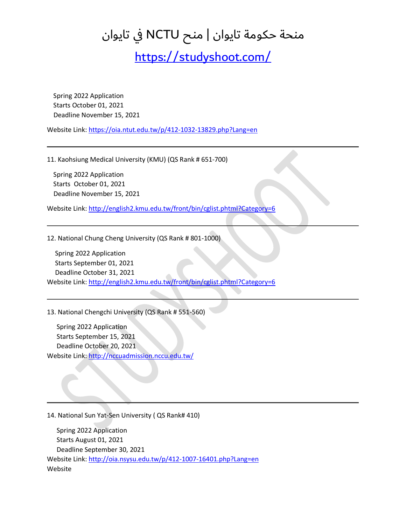<https://studyshoot.com/>

 Spring 2022 Application Starts October 01, 2021 Deadline November 15, 2021

Website Link[: https://oia.ntut.edu.tw/p/412-1032-13829.php?Lang=en](https://oia.ntut.edu.tw/p/412-1032-13829.php?Lang=en)

11. Kaohsiung Medical University (KMU) (QS Rank # 651-700)

 Spring 2022 Application Starts October 01, 2021 Deadline November 15, 2021

Website Link[: http://english2.kmu.edu.tw/front/bin/cglist.phtml?Category=6](http://english2.kmu.edu.tw/front/bin/cglist.phtml?Category=6)

12. National Chung Cheng University (QS Rank # 801-1000)

 Spring 2022 Application Starts September 01, 2021 Deadline October 31, 2021 Website Link[: http://english2.kmu.edu.tw/front/bin/cglist.phtml?Category=6](http://english2.kmu.edu.tw/front/bin/cglist.phtml?Category=6)

13. National Chengchi University (QS Rank # 551-560)

 Spring 2022 Application Starts September 15, 2021 Deadline October 20, 2021 Website Link[: http://nccuadmission.nccu.edu.tw/](http://nccuadmission.nccu.edu.tw/)

14. National Sun Yat-Sen University ( QS Rank# 410)

 Spring 2022 Application Starts August 01, 2021 Deadline September 30, 2021 Website Link[: http://oia.nsysu.edu.tw/p/412-1007-16401.php?Lang=en](http://oia.nsysu.edu.tw/p/412-1007-16401.php?Lang=en) Website